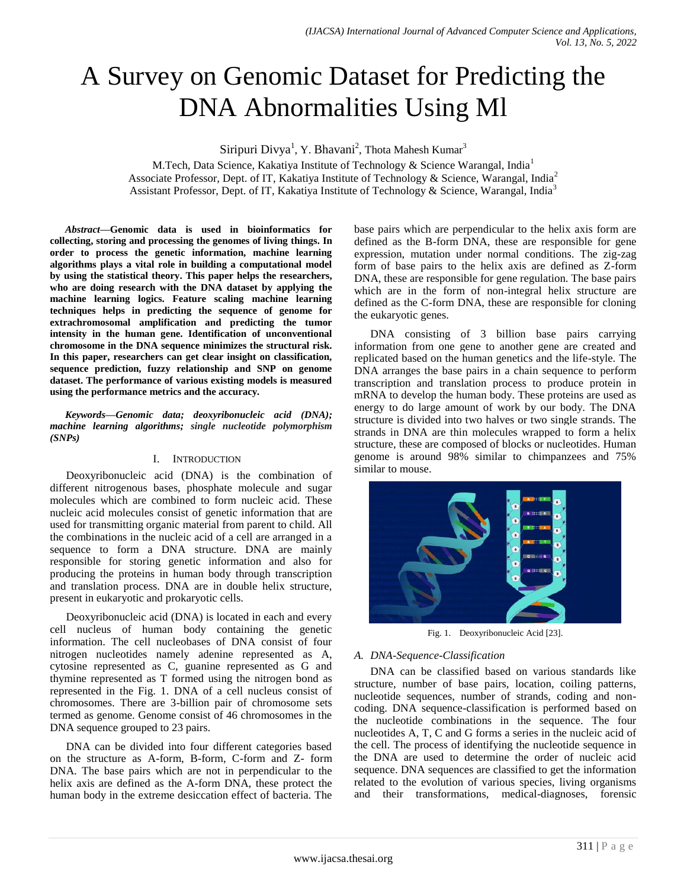# A Survey on Genomic Dataset for Predicting the DNA Abnormalities Using Ml

Siripuri Divya<sup>1</sup>, Y. Bhavani<sup>2</sup>, Thota Mahesh Kumar<sup>3</sup>

M.Tech, Data Science, Kakatiya Institute of Technology & Science Warangal, India<sup>1</sup> Associate Professor, Dept. of IT, Kakatiya Institute of Technology & Science, Warangal, India<sup>2</sup> Assistant Professor, Dept. of IT, Kakatiya Institute of Technology & Science, Warangal, India<sup>3</sup>

*Abstract—***Genomic data is used in bioinformatics for collecting, storing and processing the genomes of living things. In order to process the genetic information, machine learning algorithms plays a vital role in building a computational model by using the statistical theory. This paper helps the researchers, who are doing research with the DNA dataset by applying the machine learning logics. Feature scaling machine learning techniques helps in predicting the sequence of genome for extrachromosomal amplification and predicting the tumor intensity in the human gene. Identification of unconventional chromosome in the DNA sequence minimizes the structural risk. In this paper, researchers can get clear insight on classification, sequence prediction, fuzzy relationship and SNP on genome dataset. The performance of various existing models is measured using the performance metrics and the accuracy***.*

*Keywords—Genomic data; deoxyribonucleic acid (DNA); machine learning algorithms; single nucleotide polymorphism (SNPs)*

## I. INTRODUCTION

Deoxyribonucleic acid (DNA) is the combination of different nitrogenous bases, phosphate molecule and sugar molecules which are combined to form nucleic acid. These nucleic acid molecules consist of genetic information that are used for transmitting organic material from parent to child. All the combinations in the nucleic acid of a cell are arranged in a sequence to form a DNA structure. DNA are mainly responsible for storing genetic information and also for producing the proteins in human body through transcription and translation process. DNA are in double helix structure, present in eukaryotic and prokaryotic cells.

Deoxyribonucleic acid (DNA) is located in each and every cell nucleus of human body containing the genetic information. The cell nucleobases of DNA consist of four nitrogen nucleotides namely adenine represented as A, cytosine represented as C, guanine represented as G and thymine represented as T formed using the nitrogen bond as represented in the Fig. 1. DNA of a cell nucleus consist of chromosomes. There are 3-billion pair of chromosome sets termed as genome. Genome consist of 46 chromosomes in the DNA sequence grouped to 23 pairs.

DNA can be divided into four different categories based on the structure as A-form, B-form, C-form and Z- form DNA. The base pairs which are not in perpendicular to the helix axis are defined as the A-form DNA, these protect the human body in the extreme desiccation effect of bacteria. The base pairs which are perpendicular to the helix axis form are defined as the B-form DNA, these are responsible for gene expression, mutation under normal conditions. The zig-zag form of base pairs to the helix axis are defined as Z-form DNA, these are responsible for gene regulation. The base pairs which are in the form of non-integral helix structure are defined as the C-form DNA, these are responsible for cloning the eukaryotic genes.

DNA consisting of 3 billion base pairs carrying information from one gene to another gene are created and replicated based on the human genetics and the life-style. The DNA arranges the base pairs in a chain sequence to perform transcription and translation process to produce protein in mRNA to develop the human body. These proteins are used as energy to do large amount of work by our body. The DNA structure is divided into two halves or two single strands. The strands in DNA are thin molecules wrapped to form a helix structure, these are composed of blocks or nucleotides. Human genome is around 98% similar to chimpanzees and 75% similar to mouse.



Fig. 1. Deoxyribonucleic Acid [23].

# *A. DNA-Sequence-Classification*

DNA can be classified based on various standards like structure, number of base pairs, location, coiling patterns, nucleotide sequences, number of strands, coding and noncoding. DNA sequence-classification is performed based on the nucleotide combinations in the sequence. The four nucleotides A, T, C and G forms a series in the nucleic acid of the cell. The process of identifying the nucleotide sequence in the DNA are used to determine the order of nucleic acid sequence. DNA sequences are classified to get the information related to the evolution of various species, living organisms and their transformations, medical-diagnoses, forensic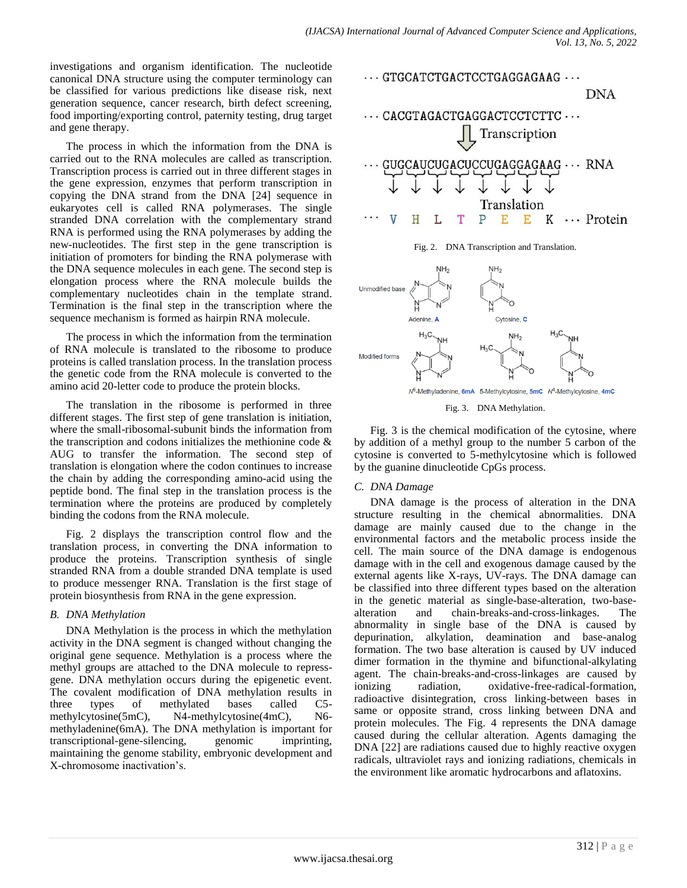investigations and organism identification. The nucleotide canonical DNA structure using the computer terminology can be classified for various predictions like disease risk, next generation sequence, cancer research, birth defect screening, food importing/exporting control, paternity testing, drug target and gene therapy.

The process in which the information from the DNA is carried out to the RNA molecules are called as transcription. Transcription process is carried out in three different stages in the gene expression, enzymes that perform transcription in copying the DNA strand from the DNA [24] sequence in eukaryotes cell is called RNA polymerases. The single stranded DNA correlation with the complementary strand RNA is performed using the RNA polymerases by adding the new-nucleotides. The first step in the gene transcription is initiation of promoters for binding the RNA polymerase with the DNA sequence molecules in each gene. The second step is elongation process where the RNA molecule builds the complementary nucleotides chain in the template strand. Termination is the final step in the transcription where the sequence mechanism is formed as hairpin RNA molecule.

The process in which the information from the termination of RNA molecule is translated to the ribosome to produce proteins is called translation process. In the translation process the genetic code from the RNA molecule is converted to the amino acid 20-letter code to produce the protein blocks.

The translation in the ribosome is performed in three different stages. The first step of gene translation is initiation, where the small-ribosomal-subunit binds the information from the transcription and codons initializes the methionine code  $\&$ AUG to transfer the information. The second step of translation is elongation where the codon continues to increase the chain by adding the corresponding amino-acid using the peptide bond. The final step in the translation process is the termination where the proteins are produced by completely binding the codons from the RNA molecule.

Fig. 2 displays the transcription control flow and the translation process, in converting the DNA information to produce the proteins. Transcription synthesis of single stranded RNA from a double stranded DNA template is used to produce messenger RNA. Translation is the first stage of protein biosynthesis from RNA in the gene expression.

# *B. DNA Methylation*

DNA Methylation is the process in which the methylation activity in the DNA segment is changed without changing the original gene sequence. Methylation is a process where the methyl groups are attached to the DNA molecule to repressgene. DNA methylation occurs during the epigenetic event. The covalent modification of DNA methylation results in three types of methylated bases called C5 methylcytosine(5mC), N4-methylcytosine(4mC), N6methyladenine(6mA). The DNA methylation is important for transcriptional-gene-silencing, genomic imprinting, maintaining the genome stability, embryonic development and X-chromosome inactivation's.







Fig. 3 is the chemical modification of the cytosine, where by addition of a methyl group to the number 5 carbon of the cytosine is converted to 5-methylcytosine which is followed by the guanine dinucleotide CpGs process.

# *C. DNA Damage*

DNA damage is the process of alteration in the DNA structure resulting in the chemical abnormalities. DNA damage are mainly caused due to the change in the environmental factors and the metabolic process inside the cell. The main source of the DNA damage is endogenous damage with in the cell and exogenous damage caused by the external agents like X-rays, UV-rays. The DNA damage can be classified into three different types based on the alteration in the genetic material as single-base-alteration, two-basealteration and chain-breaks-and-cross-linkages. The abnormality in single base of the DNA is caused by depurination, alkylation, deamination and base-analog formation. The two base alteration is caused by UV induced dimer formation in the thymine and bifunctional-alkylating agent. The chain-breaks-and-cross-linkages are caused by ionizing radiation, oxidative-free-radical-formation, radioactive disintegration, cross linking-between bases in same or opposite strand, cross linking between DNA and protein molecules. The Fig. 4 represents the DNA damage caused during the cellular alteration. Agents damaging the DNA [22] are radiations caused due to highly reactive oxygen radicals, ultraviolet rays and ionizing radiations, chemicals in the environment like aromatic hydrocarbons and aflatoxins.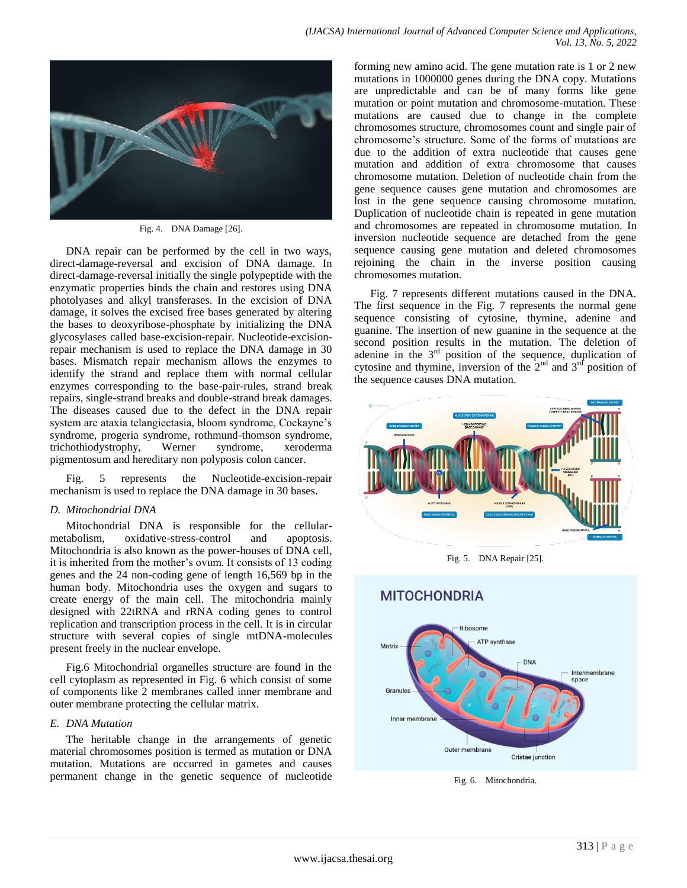

Fig. 4. DNA Damage [26].

DNA repair can be performed by the cell in two ways, direct-damage-reversal and excision of DNA damage. In direct-damage-reversal initially the single polypeptide with the enzymatic properties binds the chain and restores using DNA photolyases and alkyl transferases. In the excision of DNA damage, it solves the excised free bases generated by altering the bases to deoxyribose-phosphate by initializing the DNA glycosylases called base-excision-repair. Nucleotide-excisionrepair mechanism is used to replace the DNA damage in 30 bases. Mismatch repair mechanism allows the enzymes to identify the strand and replace them with normal cellular enzymes corresponding to the base-pair-rules, strand break repairs, single-strand breaks and double-strand break damages. The diseases caused due to the defect in the DNA repair system are ataxia telangiectasia, bloom syndrome, Cockayne's syndrome, progeria syndrome, rothmund-thomson syndrome, trichothiodystrophy, Werner syndrome, xeroderma pigmentosum and hereditary non polyposis colon cancer.

Fig. 5 represents the Nucleotide-excision-repair mechanism is used to replace the DNA damage in 30 bases.

## *D. Mitochondrial DNA*

Mitochondrial DNA is responsible for the cellularmetabolism, oxidative-stress-control and apoptosis. Mitochondria is also known as the power-houses of DNA cell, it is inherited from the mother's ovum. It consists of 13 coding genes and the 24 non-coding gene of length 16,569 bp in the human body. Mitochondria uses the oxygen and sugars to create energy of the main cell. The mitochondria mainly designed with 22tRNA and rRNA coding genes to control replication and transcription process in the cell. It is in circular structure with several copies of single mtDNA-molecules present freely in the nuclear envelope.

Fig.6 Mitochondrial organelles structure are found in the cell cytoplasm as represented in Fig. 6 which consist of some of components like 2 membranes called inner membrane and outer membrane protecting the cellular matrix.

#### *E. DNA Mutation*

The heritable change in the arrangements of genetic material chromosomes position is termed as mutation or DNA mutation. Mutations are occurred in gametes and causes permanent change in the genetic sequence of nucleotide forming new amino acid. The gene mutation rate is 1 or 2 new mutations in 1000000 genes during the DNA copy. Mutations are unpredictable and can be of many forms like gene mutation or point mutation and chromosome-mutation. These mutations are caused due to change in the complete chromosomes structure, chromosomes count and single pair of chromosome's structure. Some of the forms of mutations are due to the addition of extra nucleotide that causes gene mutation and addition of extra chromosome that causes chromosome mutation. Deletion of nucleotide chain from the gene sequence causes gene mutation and chromosomes are lost in the gene sequence causing chromosome mutation. Duplication of nucleotide chain is repeated in gene mutation and chromosomes are repeated in chromosome mutation. In inversion nucleotide sequence are detached from the gene sequence causing gene mutation and deleted chromosomes rejoining the chain in the inverse position causing chromosomes mutation.

Fig. 7 represents different mutations caused in the DNA. The first sequence in the Fig. 7 represents the normal gene sequence consisting of cytosine, thymine, adenine and guanine. The insertion of new guanine in the sequence at the second position results in the mutation. The deletion of adenine in the  $3<sup>rd</sup>$  position of the sequence, duplication of cytosine and thymine, inversion of the  $2<sup>nd</sup>$  and  $3<sup>rd</sup>$  position of the sequence causes DNA mutation.



Fig. 5. DNA Repair [25].



Fig. 6. Mitochondria.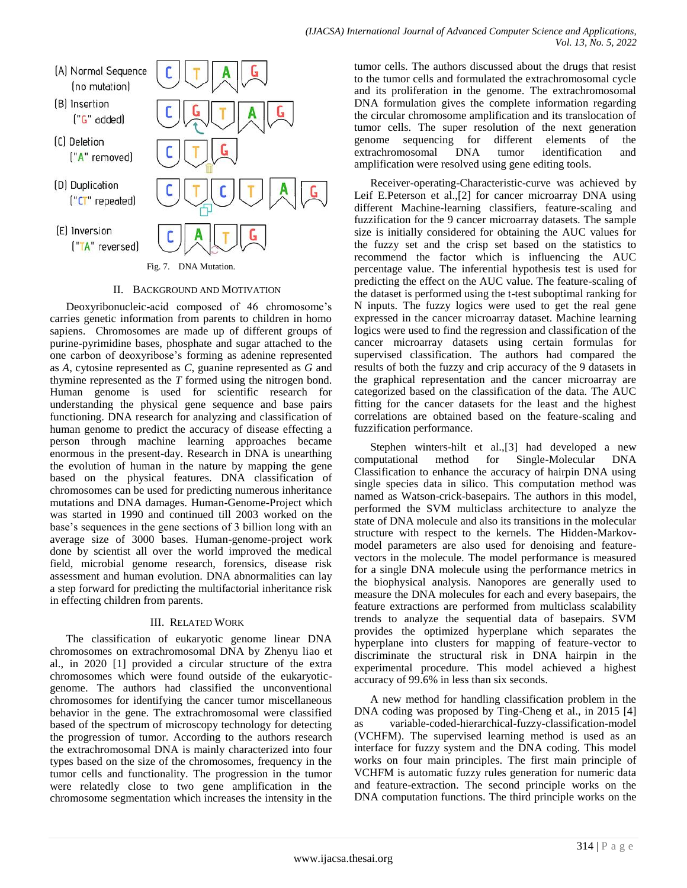

#### II. BACKGROUND AND MOTIVATION

Deoxyribonucleic-acid composed of 46 chromosome's carries genetic information from parents to children in homo sapiens. Chromosomes are made up of different groups of purine-pyrimidine bases, phosphate and sugar attached to the one carbon of deoxyribose's forming as adenine represented as *A*, cytosine represented as *C*, guanine represented as *G* and thymine represented as the *T* formed using the nitrogen bond. Human genome is used for scientific research for understanding the physical gene sequence and base pairs functioning. DNA research for analyzing and classification of human genome to predict the accuracy of disease effecting a person through machine learning approaches became enormous in the present-day. Research in DNA is unearthing the evolution of human in the nature by mapping the gene based on the physical features. DNA classification of chromosomes can be used for predicting numerous inheritance mutations and DNA damages. Human-Genome-Project which was started in 1990 and continued till 2003 worked on the base's sequences in the gene sections of 3 billion long with an average size of 3000 bases. Human-genome-project work done by scientist all over the world improved the medical field, microbial genome research, forensics, disease risk assessment and human evolution. DNA abnormalities can lay a step forward for predicting the multifactorial inheritance risk in effecting children from parents.

# III. RELATED WORK

The classification of eukaryotic genome linear DNA chromosomes on extrachromosomal DNA by Zhenyu liao et al., in 2020 [1] provided a circular structure of the extra chromosomes which were found outside of the eukaryoticgenome. The authors had classified the unconventional chromosomes for identifying the cancer tumor miscellaneous behavior in the gene. The extrachromosomal were classified based of the spectrum of microscopy technology for detecting the progression of tumor. According to the authors research the extrachromosomal DNA is mainly characterized into four types based on the size of the chromosomes, frequency in the tumor cells and functionality. The progression in the tumor were relatedly close to two gene amplification in the chromosome segmentation which increases the intensity in the tumor cells. The authors discussed about the drugs that resist to the tumor cells and formulated the extrachromosomal cycle and its proliferation in the genome. The extrachromosomal DNA formulation gives the complete information regarding the circular chromosome amplification and its translocation of tumor cells. The super resolution of the next generation genome sequencing for different elements of the<br>extrachromosomal DNA tumor identification and extrachromosomal DNA tumor identification and amplification were resolved using gene editing tools.

Receiver-operating-Characteristic-curve was achieved by Leif E.Peterson et al.,[2] for cancer microarray DNA using different Machine-learning classifiers, feature-scaling and fuzzification for the 9 cancer microarray datasets. The sample size is initially considered for obtaining the AUC values for the fuzzy set and the crisp set based on the statistics to recommend the factor which is influencing the AUC percentage value. The inferential hypothesis test is used for predicting the effect on the AUC value. The feature-scaling of the dataset is performed using the t-test suboptimal ranking for N inputs. The fuzzy logics were used to get the real gene expressed in the cancer microarray dataset. Machine learning logics were used to find the regression and classification of the cancer microarray datasets using certain formulas for supervised classification. The authors had compared the results of both the fuzzy and crip accuracy of the 9 datasets in the graphical representation and the cancer microarray are categorized based on the classification of the data. The AUC fitting for the cancer datasets for the least and the highest correlations are obtained based on the feature-scaling and fuzzification performance.

Stephen winters-hilt et al.,[3] had developed a new computational method for Single-Molecular DNA Classification to enhance the accuracy of hairpin DNA using single species data in silico. This computation method was named as Watson-crick-basepairs. The authors in this model, performed the SVM multiclass architecture to analyze the state of DNA molecule and also its transitions in the molecular structure with respect to the kernels. The Hidden-Markovmodel parameters are also used for denoising and featurevectors in the molecule. The model performance is measured for a single DNA molecule using the performance metrics in the biophysical analysis. Nanopores are generally used to measure the DNA molecules for each and every basepairs, the feature extractions are performed from multiclass scalability trends to analyze the sequential data of basepairs. SVM provides the optimized hyperplane which separates the hyperplane into clusters for mapping of feature-vector to discriminate the structural risk in DNA hairpin in the experimental procedure. This model achieved a highest accuracy of 99.6% in less than six seconds.

A new method for handling classification problem in the DNA coding was proposed by Ting-Cheng et al., in 2015 [4] variable-coded-hierarchical-fuzzy-classification-model (VCHFM). The supervised learning method is used as an interface for fuzzy system and the DNA coding. This model works on four main principles. The first main principle of VCHFM is automatic fuzzy rules generation for numeric data and feature-extraction. The second principle works on the DNA computation functions. The third principle works on the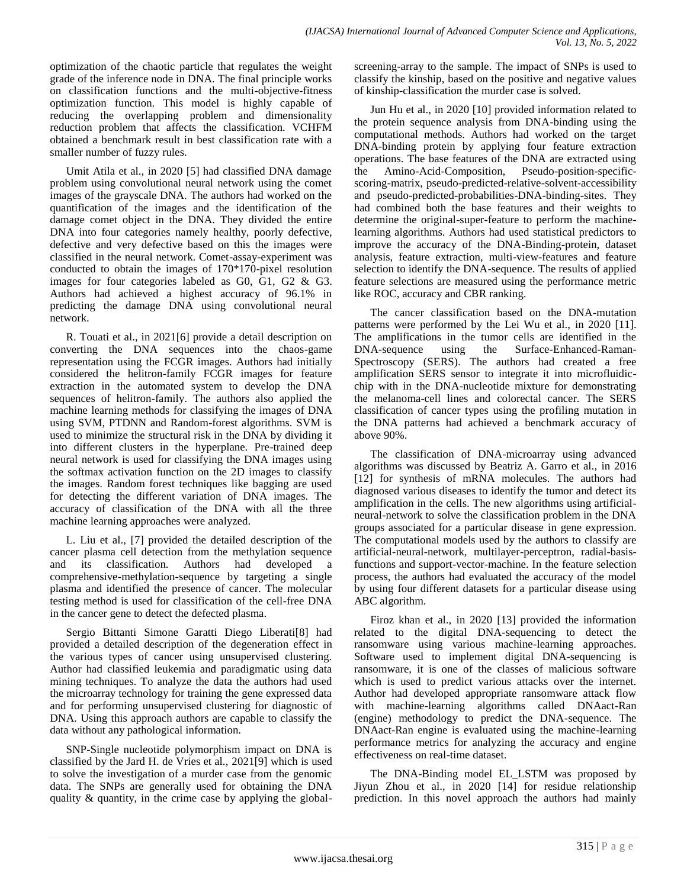optimization of the chaotic particle that regulates the weight grade of the inference node in DNA. The final principle works on classification functions and the multi-objective-fitness optimization function. This model is highly capable of reducing the overlapping problem and dimensionality reduction problem that affects the classification. VCHFM obtained a benchmark result in best classification rate with a smaller number of fuzzy rules.

Umit Atila et al., in 2020 [5] had classified DNA damage problem using convolutional neural network using the comet images of the grayscale DNA. The authors had worked on the quantification of the images and the identification of the damage comet object in the DNA. They divided the entire DNA into four categories namely healthy, poorly defective, defective and very defective based on this the images were classified in the neural network. Comet-assay-experiment was conducted to obtain the images of 170\*170-pixel resolution images for four categories labeled as G0, G1, G2 & G3. Authors had achieved a highest accuracy of 96.1% in predicting the damage DNA using convolutional neural network.

R. Touati et al., in 2021[6] provide a detail description on converting the DNA sequences into the chaos-game representation using the FCGR images. Authors had initially considered the helitron-family FCGR images for feature extraction in the automated system to develop the DNA sequences of helitron-family. The authors also applied the machine learning methods for classifying the images of DNA using SVM, PTDNN and Random-forest algorithms. SVM is used to minimize the structural risk in the DNA by dividing it into different clusters in the hyperplane. Pre-trained deep neural network is used for classifying the DNA images using the softmax activation function on the 2D images to classify the images. Random forest techniques like bagging are used for detecting the different variation of DNA images. The accuracy of classification of the DNA with all the three machine learning approaches were analyzed.

L. Liu et al., [7] provided the detailed description of the cancer plasma cell detection from the methylation sequence and its classification. Authors had developed a comprehensive-methylation-sequence by targeting a single plasma and identified the presence of cancer. The molecular testing method is used for classification of the cell-free DNA in the cancer gene to detect the defected plasma.

Sergio Bittanti Simone Garatti Diego Liberati[8] had provided a detailed description of the degeneration effect in the various types of cancer using unsupervised clustering. Author had classified leukemia and paradigmatic using data mining techniques. To analyze the data the authors had used the microarray technology for training the gene expressed data and for performing unsupervised clustering for diagnostic of DNA. Using this approach authors are capable to classify the data without any pathological information.

SNP-Single nucleotide polymorphism impact on DNA is classified by the Jard H. de Vries et al., 2021[9] which is used to solve the investigation of a murder case from the genomic data. The SNPs are generally used for obtaining the DNA quality & quantity, in the crime case by applying the globalscreening-array to the sample. The impact of SNPs is used to classify the kinship, based on the positive and negative values of kinship-classification the murder case is solved.

Jun Hu et al., in 2020 [10] provided information related to the protein sequence analysis from DNA-binding using the computational methods. Authors had worked on the target DNA-binding protein by applying four feature extraction operations. The base features of the DNA are extracted using the Amino-Acid-Composition, Pseudo-position-specificscoring-matrix, pseudo-predicted-relative-solvent-accessibility and pseudo-predicted-probabilities-DNA-binding-sites. They had combined both the base features and their weights to determine the original-super-feature to perform the machinelearning algorithms. Authors had used statistical predictors to improve the accuracy of the DNA-Binding-protein, dataset analysis, feature extraction, multi-view-features and feature selection to identify the DNA-sequence. The results of applied feature selections are measured using the performance metric like ROC, accuracy and CBR ranking.

The cancer classification based on the DNA-mutation patterns were performed by the Lei Wu et al., in 2020 [11]. The amplifications in the tumor cells are identified in the DNA-sequence using the Surface-Enhanced-Raman-Spectroscopy (SERS). The authors had created a free amplification SERS sensor to integrate it into microfluidicchip with in the DNA-nucleotide mixture for demonstrating the melanoma-cell lines and colorectal cancer. The SERS classification of cancer types using the profiling mutation in the DNA patterns had achieved a benchmark accuracy of above 90%.

The classification of DNA-microarray using advanced algorithms was discussed by Beatriz A. Garro et al., in 2016 [12] for synthesis of mRNA molecules. The authors had diagnosed various diseases to identify the tumor and detect its amplification in the cells. The new algorithms using artificialneural-network to solve the classification problem in the DNA groups associated for a particular disease in gene expression. The computational models used by the authors to classify are artificial-neural-network, multilayer-perceptron, radial-basisfunctions and support-vector-machine. In the feature selection process, the authors had evaluated the accuracy of the model by using four different datasets for a particular disease using ABC algorithm.

Firoz khan et al., in 2020 [13] provided the information related to the digital DNA-sequencing to detect the ransomware using various machine-learning approaches. Software used to implement digital DNA-sequencing is ransomware, it is one of the classes of malicious software which is used to predict various attacks over the internet. Author had developed appropriate ransomware attack flow with machine-learning algorithms called DNAact-Ran (engine) methodology to predict the DNA-sequence. The DNAact-Ran engine is evaluated using the machine-learning performance metrics for analyzing the accuracy and engine effectiveness on real-time dataset.

The DNA-Binding model EL\_LSTM was proposed by Jiyun Zhou et al., in 2020 [14] for residue relationship prediction. In this novel approach the authors had mainly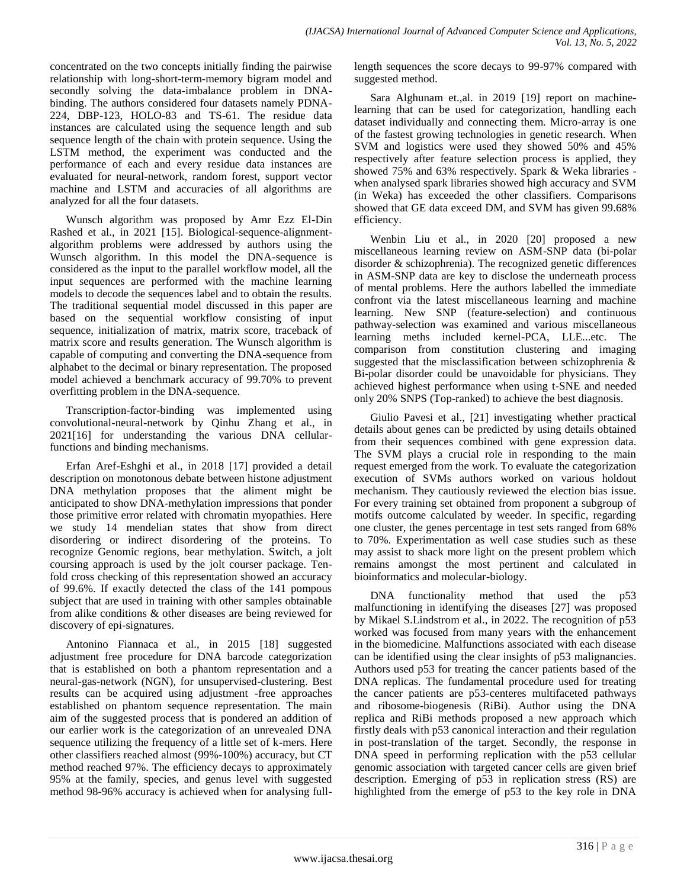concentrated on the two concepts initially finding the pairwise relationship with long-short-term-memory bigram model and secondly solving the data-imbalance problem in DNAbinding. The authors considered four datasets namely PDNA-224, DBP-123, HOLO-83 and TS-61. The residue data instances are calculated using the sequence length and sub sequence length of the chain with protein sequence. Using the LSTM method, the experiment was conducted and the performance of each and every residue data instances are evaluated for neural-network, random forest, support vector machine and LSTM and accuracies of all algorithms are analyzed for all the four datasets.

Wunsch algorithm was proposed by Amr Ezz El-Din Rashed et al., in 2021 [15]. Biological-sequence-alignmentalgorithm problems were addressed by authors using the Wunsch algorithm. In this model the DNA-sequence is considered as the input to the parallel workflow model, all the input sequences are performed with the machine learning models to decode the sequences label and to obtain the results. The traditional sequential model discussed in this paper are based on the sequential workflow consisting of input sequence, initialization of matrix, matrix score, traceback of matrix score and results generation. The Wunsch algorithm is capable of computing and converting the DNA-sequence from alphabet to the decimal or binary representation. The proposed model achieved a benchmark accuracy of 99.70% to prevent overfitting problem in the DNA-sequence.

Transcription-factor-binding was implemented using convolutional-neural-network by Qinhu Zhang et al., in 2021[16] for understanding the various DNA cellularfunctions and binding mechanisms.

Erfan Aref-Eshghi et al., in 2018 [17] provided a detail description on monotonous debate between histone adjustment DNA methylation proposes that the aliment might be anticipated to show DNA-methylation impressions that ponder those primitive error related with chromatin myopathies. Here we study 14 mendelian states that show from direct disordering or indirect disordering of the proteins. To recognize Genomic regions, bear methylation. Switch, a jolt coursing approach is used by the jolt courser package. Tenfold cross checking of this representation showed an accuracy of 99.6%. If exactly detected the class of the 141 pompous subject that are used in training with other samples obtainable from alike conditions & other diseases are being reviewed for discovery of epi-signatures.

Antonino Fiannaca et al., in 2015 [18] suggested adjustment free procedure for DNA barcode categorization that is established on both a phantom representation and a neural-gas-network (NGN), for unsupervised-clustering. Best results can be acquired using adjustment -free approaches established on phantom sequence representation. The main aim of the suggested process that is pondered an addition of our earlier work is the categorization of an unrevealed DNA sequence utilizing the frequency of a little set of k-mers. Here other classifiers reached almost (99%-100%) accuracy, but CT method reached 97%. The efficiency decays to approximately 95% at the family, species, and genus level with suggested method 98-96% accuracy is achieved when for analysing fulllength sequences the score decays to 99-97% compared with suggested method.

Sara Alghunam et.,al. in 2019 [19] report on machinelearning that can be used for categorization, handling each dataset individually and connecting them. Micro-array is one of the fastest growing technologies in genetic research. When SVM and logistics were used they showed 50% and 45% respectively after feature selection process is applied, they showed 75% and 63% respectively. Spark & Weka libraries when analysed spark libraries showed high accuracy and SVM (in Weka) has exceeded the other classifiers. Comparisons showed that GE data exceed DM, and SVM has given 99.68% efficiency.

Wenbin Liu et al., in 2020 [20] proposed a new miscellaneous learning review on ASM-SNP data (bi-polar disorder & schizophrenia). The recognized genetic differences in ASM-SNP data are key to disclose the underneath process of mental problems. Here the authors labelled the immediate confront via the latest miscellaneous learning and machine learning. New SNP (feature-selection) and continuous pathway-selection was examined and various miscellaneous learning meths included kernel-PCA, LLE...etc. The comparison from constitution clustering and imaging suggested that the misclassification between schizophrenia & Bi-polar disorder could be unavoidable for physicians. They achieved highest performance when using t-SNE and needed only 20% SNPS (Top-ranked) to achieve the best diagnosis.

Giulio Pavesi et al., [21] investigating whether practical details about genes can be predicted by using details obtained from their sequences combined with gene expression data. The SVM plays a crucial role in responding to the main request emerged from the work. To evaluate the categorization execution of SVMs authors worked on various holdout mechanism. They cautiously reviewed the election bias issue. For every training set obtained from proponent a subgroup of motifs outcome calculated by weeder. In specific, regarding one cluster, the genes percentage in test sets ranged from 68% to 70%. Experimentation as well case studies such as these may assist to shack more light on the present problem which remains amongst the most pertinent and calculated in bioinformatics and molecular-biology.

DNA functionality method that used the p53 malfunctioning in identifying the diseases [27] was proposed by Mikael S.Lindstrom et al., in 2022. The recognition of p53 worked was focused from many years with the enhancement in the biomedicine. Malfunctions associated with each disease can be identified using the clear insights of p53 malignancies. Authors used p53 for treating the cancer patients based of the DNA replicas. The fundamental procedure used for treating the cancer patients are p53-centeres multifaceted pathways and ribosome-biogenesis (RiBi). Author using the DNA replica and RiBi methods proposed a new approach which firstly deals with p53 canonical interaction and their regulation in post-translation of the target. Secondly, the response in DNA speed in performing replication with the p53 cellular genomic association with targeted cancer cells are given brief description. Emerging of p53 in replication stress (RS) are highlighted from the emerge of p53 to the key role in DNA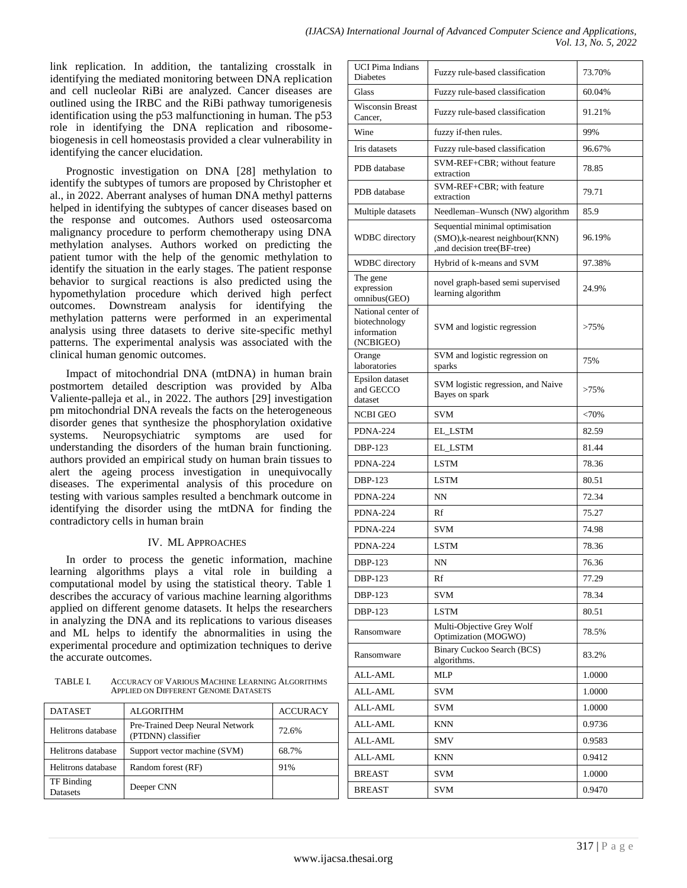link replication. In addition, the tantalizing crosstalk in identifying the mediated monitoring between DNA replication and cell nucleolar RiBi are analyzed. Cancer diseases are outlined using the IRBC and the RiBi pathway tumorigenesis identification using the p53 malfunctioning in human. The p53 role in identifying the DNA replication and ribosomebiogenesis in cell homeostasis provided a clear vulnerability in identifying the cancer elucidation.

Prognostic investigation on DNA [28] methylation to identify the subtypes of tumors are proposed by Christopher et al., in 2022. Aberrant analyses of human DNA methyl patterns helped in identifying the subtypes of cancer diseases based on the response and outcomes. Authors used osteosarcoma malignancy procedure to perform chemotherapy using DNA methylation analyses. Authors worked on predicting the patient tumor with the help of the genomic methylation to identify the situation in the early stages. The patient response behavior to surgical reactions is also predicted using the hypomethylation procedure which derived high perfect outcomes. Downstream analysis for identifying the methylation patterns were performed in an experimental analysis using three datasets to derive site-specific methyl patterns. The experimental analysis was associated with the clinical human genomic outcomes.

Impact of mitochondrial DNA (mtDNA) in human brain postmortem detailed description was provided by Alba Valiente-palleja et al., in 2022. The authors [29] investigation pm mitochondrial DNA reveals the facts on the heterogeneous disorder genes that synthesize the phosphorylation oxidative systems. Neuropsychiatric symptoms are used for understanding the disorders of the human brain functioning. authors provided an empirical study on human brain tissues to alert the ageing process investigation in unequivocally diseases. The experimental analysis of this procedure on testing with various samples resulted a benchmark outcome in identifying the disorder using the mtDNA for finding the contradictory cells in human brain

## IV. ML APPROACHES

In order to process the genetic information, machine learning algorithms plays a vital role in building a computational model by using the statistical theory. Table 1 describes the accuracy of various machine learning algorithms applied on different genome datasets. It helps the researchers in analyzing the DNA and its replications to various diseases and ML helps to identify the abnormalities in using the experimental procedure and optimization techniques to derive the accurate outcomes.

TABLE I. ACCURACY OF VARIOUS MACHINE LEARNING ALGORITHMS APPLIED ON DIFFERENT GENOME DATASETS

| <b>DATASET</b>                | <b>ALGORITHM</b>                                      | <b>ACCURACY</b> |
|-------------------------------|-------------------------------------------------------|-----------------|
| Helitrons database            | Pre-Trained Deep Neural Network<br>(PTDNN) classifier | 72.6%           |
| Helitrons database            | Support vector machine (SVM)                          | 68.7%           |
| Helitrons database            | Random forest (RF)                                    | 91%             |
| TF Binding<br><b>Datasets</b> | Deeper CNN                                            |                 |

| <b>UCI Pima Indians</b><br>Diabetes                             | Fuzzy rule-based classification                                                                   | 73.70%  |
|-----------------------------------------------------------------|---------------------------------------------------------------------------------------------------|---------|
| Glass                                                           | Fuzzy rule-based classification                                                                   | 60.04%  |
| <b>Wisconsin Breast</b><br>Cancer,                              | Fuzzy rule-based classification                                                                   | 91.21%  |
| Wine                                                            | fuzzy if-then rules.                                                                              | 99%     |
| Iris datasets                                                   | Fuzzy rule-based classification                                                                   | 96.67%  |
| PDB database                                                    | SVM-REF+CBR; without feature<br>extraction                                                        | 78.85   |
| PDB database                                                    | SVM-REF+CBR; with feature<br>extraction                                                           | 79.71   |
| Multiple datasets                                               | Needleman-Wunsch (NW) algorithm                                                                   | 85.9    |
| <b>WDBC</b> directory                                           | Sequential minimal optimisation<br>(SMO), k-nearest neighbour(KNN)<br>,and decision tree(BF-tree) | 96.19%  |
| <b>WDBC</b> directory                                           | Hybrid of k-means and SVM                                                                         | 97.38%  |
| The gene<br>expression<br>omnibus(GEO)                          | novel graph-based semi supervised<br>learning algorithm                                           | 24.9%   |
| National center of<br>biotechnology<br>information<br>(NCBIGEO) | SVM and logistic regression                                                                       | >75%    |
| Orange<br>laboratories                                          | SVM and logistic regression on<br>sparks                                                          | 75%     |
| Epsilon dataset<br>and GECCO<br>dataset                         | SVM logistic regression, and Naive<br>Bayes on spark                                              | $>75\%$ |
| <b>NCBI GEO</b>                                                 | <b>SVM</b>                                                                                        | <70%    |
| PDNA-224                                                        | EL_LSTM                                                                                           | 82.59   |
| DBP-123                                                         | EL_LSTM                                                                                           | 81.44   |
| PDNA-224                                                        | <b>LSTM</b>                                                                                       | 78.36   |
| DBP-123                                                         | <b>LSTM</b>                                                                                       | 80.51   |
| PDNA-224                                                        | NN                                                                                                | 72.34   |
| <b>PDNA-224</b>                                                 | Rf                                                                                                | 75.27   |
| PDNA-224                                                        | <b>SVM</b>                                                                                        | 74.98   |
| PDNA-224                                                        | <b>LSTM</b>                                                                                       | 78.36   |
| <b>DBP-123</b>                                                  | NN                                                                                                | 76.36   |
| DBP-123                                                         | Rf                                                                                                | 77.29   |
| DBP-123                                                         | <b>SVM</b>                                                                                        | 78.34   |
| DBP-123                                                         | LSTM                                                                                              | 80.51   |
| Ransomware                                                      | Multi-Objective Grey Wolf<br>Optimization (MOGWO)                                                 | 78.5%   |
| Ransomware                                                      | <b>Binary Cuckoo Search (BCS)</b><br>algorithms.                                                  | 83.2%   |
| ALL-AML                                                         | MLP                                                                                               | 1.0000  |
| ALL-AML                                                         | SVM                                                                                               | 1.0000  |
| ALL-AML                                                         | <b>SVM</b>                                                                                        | 1.0000  |
| ALL-AML                                                         | KNN                                                                                               | 0.9736  |
| ALL-AML                                                         | SMV                                                                                               | 0.9583  |
| ALL-AML                                                         | KNN                                                                                               | 0.9412  |
| <b>BREAST</b>                                                   | SVM                                                                                               | 1.0000  |
| <b>BREAST</b>                                                   | SVM                                                                                               | 0.9470  |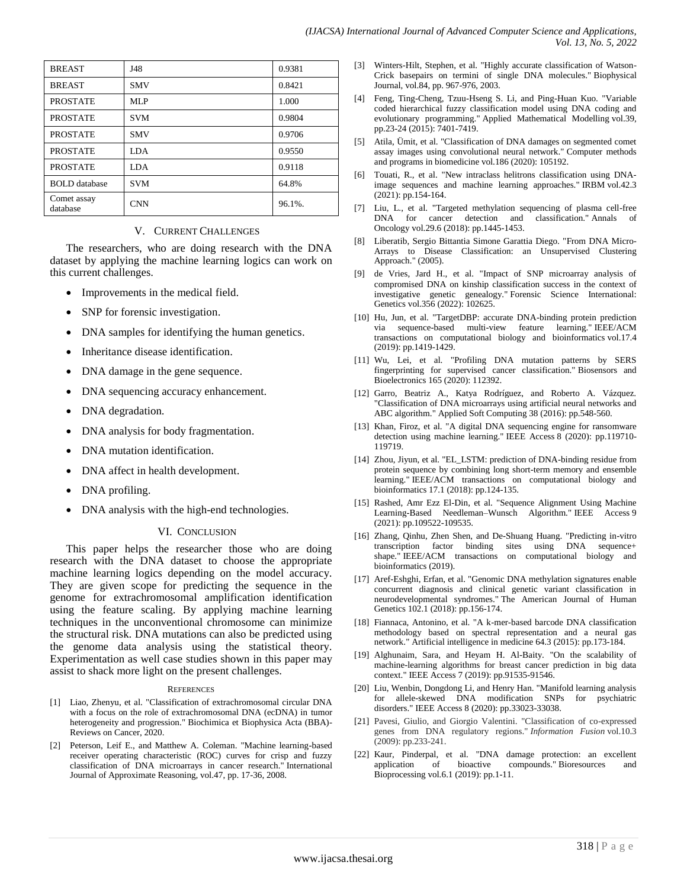| <b>BREAST</b>           | J48        | 0.9381 |
|-------------------------|------------|--------|
| <b>BREAST</b>           | <b>SMV</b> | 0.8421 |
| <b>PROSTATE</b>         | MLP        | 1.000  |
| <b>PROSTATE</b>         | <b>SVM</b> | 0.9804 |
| <b>PROSTATE</b>         | <b>SMV</b> | 0.9706 |
| <b>PROSTATE</b>         | <b>LDA</b> | 0.9550 |
| <b>PROSTATE</b>         | <b>LDA</b> | 0.9118 |
| <b>BOLD</b> database    | <b>SVM</b> | 64.8%  |
| Comet assay<br>database | <b>CNN</b> | 96.1%. |

#### V. CURRENT CHALLENGES

The researchers, who are doing research with the DNA dataset by applying the machine learning logics can work on this current challenges.

- Improvements in the medical field.
- SNP for forensic investigation.
- DNA samples for identifying the human genetics.
- Inheritance disease identification.
- DNA damage in the gene sequence.
- DNA sequencing accuracy enhancement.
- DNA degradation.
- DNA analysis for body fragmentation.
- DNA mutation identification.
- DNA affect in health development.
- DNA profiling.
- DNA analysis with the high-end technologies.

#### VI. CONCLUSION

This paper helps the researcher those who are doing research with the DNA dataset to choose the appropriate machine learning logics depending on the model accuracy. They are given scope for predicting the sequence in the genome for extrachromosomal amplification identification using the feature scaling. By applying machine learning techniques in the unconventional chromosome can minimize the structural risk. DNA mutations can also be predicted using the genome data analysis using the statistical theory. Experimentation as well case studies shown in this paper may assist to shack more light on the present challenges.

#### **REFERENCES**

- [1] Liao, Zhenyu, et al. "Classification of extrachromosomal circular DNA with a focus on the role of extrachromosomal DNA (ecDNA) in tumor heterogeneity and progression." Biochimica et Biophysica Acta (BBA)- Reviews on Cancer, 2020.
- [2] Peterson, Leif E., and Matthew A. Coleman. "Machine learning-based receiver operating characteristic (ROC) curves for crisp and fuzzy classification of DNA microarrays in cancer research." International Journal of Approximate Reasoning, vol.47, pp. 17-36, 2008.
- [3] Winters-Hilt, Stephen, et al. "Highly accurate classification of Watson-Crick basepairs on termini of single DNA molecules." Biophysical Journal, vol.84, pp. 967-976, 2003.
- [4] Feng, Ting-Cheng, Tzuu-Hseng S. Li, and Ping-Huan Kuo. "Variable coded hierarchical fuzzy classification model using DNA coding and evolutionary programming." Applied Mathematical Modelling vol.39, pp.23-24 (2015): 7401-7419.
- [5] Atila, Ümit, et al. "Classification of DNA damages on segmented comet assay images using convolutional neural network." Computer methods and programs in biomedicine vol.186 (2020): 105192.
- [6] Touati, R., et al. "New intraclass helitrons classification using DNAimage sequences and machine learning approaches." IRBM vol.42.3 (2021): pp.154-164.
- [7] Liu, L., et al. "Targeted methylation sequencing of plasma cell-free DNA for cancer detection and classification." Annals of Oncology vol.29.6 (2018): pp.1445-1453.
- [8] Liberatib, Sergio Bittantia Simone Garattia Diego. "From DNA Micro-Arrays to Disease Classification: an Unsupervised Clustering Approach." (2005).
- [9] de Vries, Jard H., et al. "Impact of SNP microarray analysis of compromised DNA on kinship classification success in the context of investigative genetic genealogy." Forensic Science International: Genetics vol.356 (2022): 102625.
- [10] Hu, Jun, et al. "TargetDBP: accurate DNA-binding protein prediction via sequence-based multi-view feature learning." IEEE/ACM transactions on computational biology and bioinformatics vol.17.4 (2019): pp.1419-1429.
- [11] Wu, Lei, et al. "Profiling DNA mutation patterns by SERS fingerprinting for supervised cancer classification." Biosensors and Bioelectronics 165 (2020): 112392.
- [12] Garro, Beatriz A., Katya Rodríguez, and Roberto A. Vázquez. "Classification of DNA microarrays using artificial neural networks and ABC algorithm." Applied Soft Computing 38 (2016): pp.548-560.
- [13] Khan, Firoz, et al. "A digital DNA sequencing engine for ransomware detection using machine learning." IEEE Access 8 (2020): pp.119710- 119719.
- [14] Zhou, Jiyun, et al. "EL\_LSTM: prediction of DNA-binding residue from protein sequence by combining long short-term memory and ensemble learning." IEEE/ACM transactions on computational biology and bioinformatics 17.1 (2018): pp.124-135.
- [15] Rashed, Amr Ezz El-Din, et al. "Sequence Alignment Using Machine Learning-Based Needleman–Wunsch Algorithm." IEEE Access 9 (2021): pp.109522-109535.
- [16] Zhang, Qinhu, Zhen Shen, and De-Shuang Huang. "Predicting in-vitro transcription factor binding sites using DNA sequence+ shape." IEEE/ACM transactions on computational biology and bioinformatics (2019).
- [17] Aref-Eshghi, Erfan, et al. "Genomic DNA methylation signatures enable concurrent diagnosis and clinical genetic variant classification in neurodevelopmental syndromes." The American Journal of Human Genetics 102.1 (2018): pp.156-174.
- [18] Fiannaca, Antonino, et al. "A k-mer-based barcode DNA classification methodology based on spectral representation and a neural gas network." Artificial intelligence in medicine 64.3 (2015): pp.173-184.
- [19] Alghunaim, Sara, and Heyam H. Al-Baity. "On the scalability of machine-learning algorithms for breast cancer prediction in big data context." IEEE Access 7 (2019): pp.91535-91546.
- [20] Liu, Wenbin, Dongdong Li, and Henry Han. "Manifold learning analysis for allele-skewed DNA modification SNPs for psychiatric disorders." IEEE Access 8 (2020): pp.33023-33038.
- [21] Pavesi, Giulio, and Giorgio Valentini. "Classification of co-expressed genes from DNA regulatory regions." *Information Fusion* vol.10.3 (2009): pp.233-241.
- [22] Kaur, Pinderpal, et al. "DNA damage protection: an excellent bioactive compounds." Bioresources and Bioprocessing vol.6.1 (2019): pp.1-11.